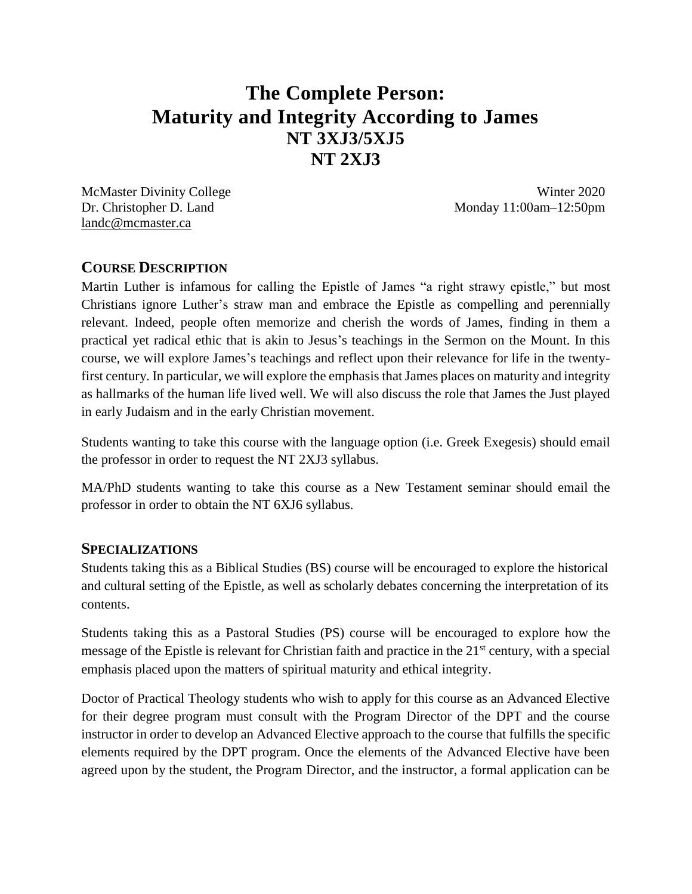# **The Complete Person: Maturity and Integrity According to James NT 3XJ3/5XJ5 NT 2XJ3**

McMaster Divinity College Winter 2020 [landc@mcmaster.ca](mailto:landc@mcmaster.ca)

Dr. Christopher D. Land Monday 11:00am–12:50pm

# **COURSE DESCRIPTION**

Martin Luther is infamous for calling the Epistle of James "a right strawy epistle," but most Christians ignore Luther's straw man and embrace the Epistle as compelling and perennially relevant. Indeed, people often memorize and cherish the words of James, finding in them a practical yet radical ethic that is akin to Jesus's teachings in the Sermon on the Mount. In this course, we will explore James's teachings and reflect upon their relevance for life in the twentyfirst century. In particular, we will explore the emphasis that James places on maturity and integrity as hallmarks of the human life lived well. We will also discuss the role that James the Just played in early Judaism and in the early Christian movement.

Students wanting to take this course with the language option (i.e. Greek Exegesis) should email the professor in order to request the NT 2XJ3 syllabus.

MA/PhD students wanting to take this course as a New Testament seminar should email the professor in order to obtain the NT 6XJ6 syllabus.

## **SPECIALIZATIONS**

Students taking this as a Biblical Studies (BS) course will be encouraged to explore the historical and cultural setting of the Epistle, as well as scholarly debates concerning the interpretation of its contents.

Students taking this as a Pastoral Studies (PS) course will be encouraged to explore how the message of the Epistle is relevant for Christian faith and practice in the 21st century, with a special emphasis placed upon the matters of spiritual maturity and ethical integrity.

Doctor of Practical Theology students who wish to apply for this course as an Advanced Elective for their degree program must consult with the Program Director of the DPT and the course instructor in order to develop an Advanced Elective approach to the course that fulfills the specific elements required by the DPT program. Once the elements of the Advanced Elective have been agreed upon by the student, the Program Director, and the instructor, a formal application can be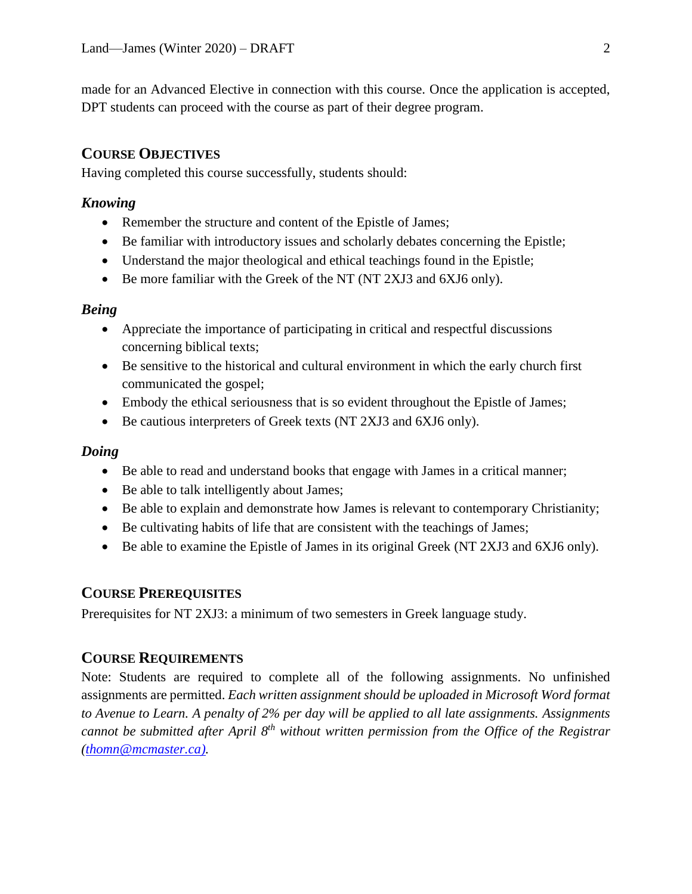made for an Advanced Elective in connection with this course. Once the application is accepted, DPT students can proceed with the course as part of their degree program.

# **COURSE OBJECTIVES**

Having completed this course successfully, students should:

## *Knowing*

- Remember the structure and content of the Epistle of James;
- Be familiar with introductory issues and scholarly debates concerning the Epistle;
- Understand the major theological and ethical teachings found in the Epistle;
- Be more familiar with the Greek of the NT (NT 2XJ3 and 6XJ6 only).

## *Being*

- Appreciate the importance of participating in critical and respectful discussions concerning biblical texts;
- Be sensitive to the historical and cultural environment in which the early church first communicated the gospel;
- Embody the ethical seriousness that is so evident throughout the Epistle of James;
- Be cautious interpreters of Greek texts (NT 2XJ3 and 6XJ6 only).

## *Doing*

- Be able to read and understand books that engage with James in a critical manner;
- Be able to talk intelligently about James;
- Be able to explain and demonstrate how James is relevant to contemporary Christianity;
- Be cultivating habits of life that are consistent with the teachings of James;
- Be able to examine the Epistle of James in its original Greek (NT 2XJ3 and 6XJ6 only).

## **COURSE PREREQUISITES**

Prerequisites for NT 2XJ3: a minimum of two semesters in Greek language study.

# **COURSE REQUIREMENTS**

Note: Students are required to complete all of the following assignments. No unfinished assignments are permitted. *Each written assignment should be uploaded in Microsoft Word format to Avenue to Learn. A penalty of 2% per day will be applied to all late assignments. Assignments cannot be submitted after April 8 th without written permission from the Office of the Registrar [\(thomn@mcmaster.ca\).](mailto:thomn@mcmaster.ca))*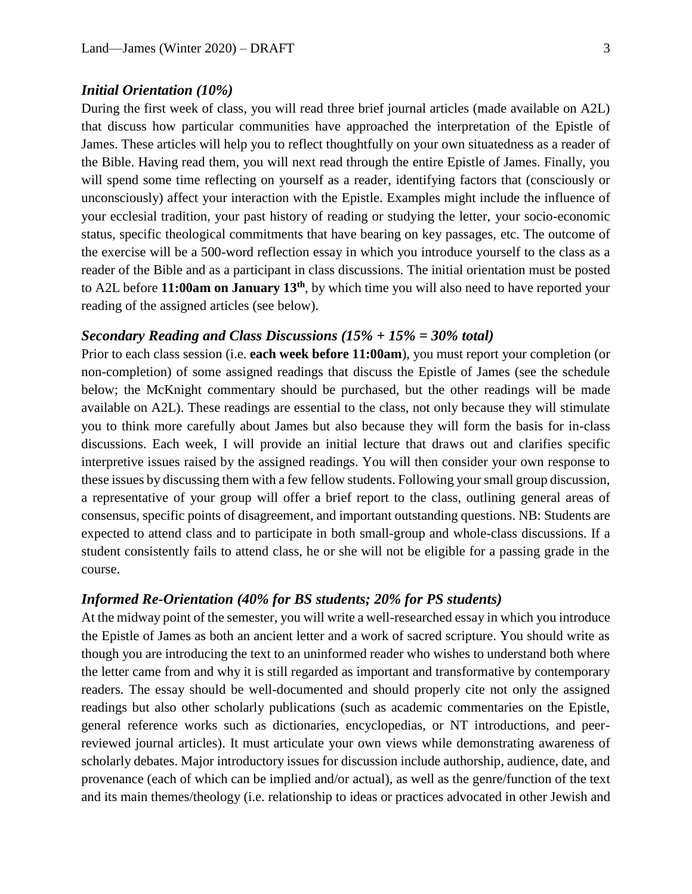#### *Initial Orientation (10%)*

During the first week of class, you will read three brief journal articles (made available on A2L) that discuss how particular communities have approached the interpretation of the Epistle of James. These articles will help you to reflect thoughtfully on your own situatedness as a reader of the Bible. Having read them, you will next read through the entire Epistle of James. Finally, you will spend some time reflecting on yourself as a reader, identifying factors that (consciously or unconsciously) affect your interaction with the Epistle. Examples might include the influence of your ecclesial tradition, your past history of reading or studying the letter, your socio-economic status, specific theological commitments that have bearing on key passages, etc. The outcome of the exercise will be a 500-word reflection essay in which you introduce yourself to the class as a reader of the Bible and as a participant in class discussions. The initial orientation must be posted to A2L before **11:00am on January 13th**, by which time you will also need to have reported your reading of the assigned articles (see below).

## *Secondary Reading and Class Discussions (15% + 15% = 30% total)*

Prior to each class session (i.e. **each week before 11:00am**), you must report your completion (or non-completion) of some assigned readings that discuss the Epistle of James (see the schedule below; the McKnight commentary should be purchased, but the other readings will be made available on A2L). These readings are essential to the class, not only because they will stimulate you to think more carefully about James but also because they will form the basis for in-class discussions. Each week, I will provide an initial lecture that draws out and clarifies specific interpretive issues raised by the assigned readings. You will then consider your own response to these issues by discussing them with a few fellow students. Following your small group discussion, a representative of your group will offer a brief report to the class, outlining general areas of consensus, specific points of disagreement, and important outstanding questions. NB: Students are expected to attend class and to participate in both small-group and whole-class discussions. If a student consistently fails to attend class, he or she will not be eligible for a passing grade in the course.

## *Informed Re-Orientation (40% for BS students; 20% for PS students)*

At the midway point of the semester, you will write a well-researched essay in which you introduce the Epistle of James as both an ancient letter and a work of sacred scripture. You should write as though you are introducing the text to an uninformed reader who wishes to understand both where the letter came from and why it is still regarded as important and transformative by contemporary readers. The essay should be well-documented and should properly cite not only the assigned readings but also other scholarly publications (such as academic commentaries on the Epistle, general reference works such as dictionaries, encyclopedias, or NT introductions, and peerreviewed journal articles). It must articulate your own views while demonstrating awareness of scholarly debates. Major introductory issues for discussion include authorship, audience, date, and provenance (each of which can be implied and/or actual), as well as the genre/function of the text and its main themes/theology (i.e. relationship to ideas or practices advocated in other Jewish and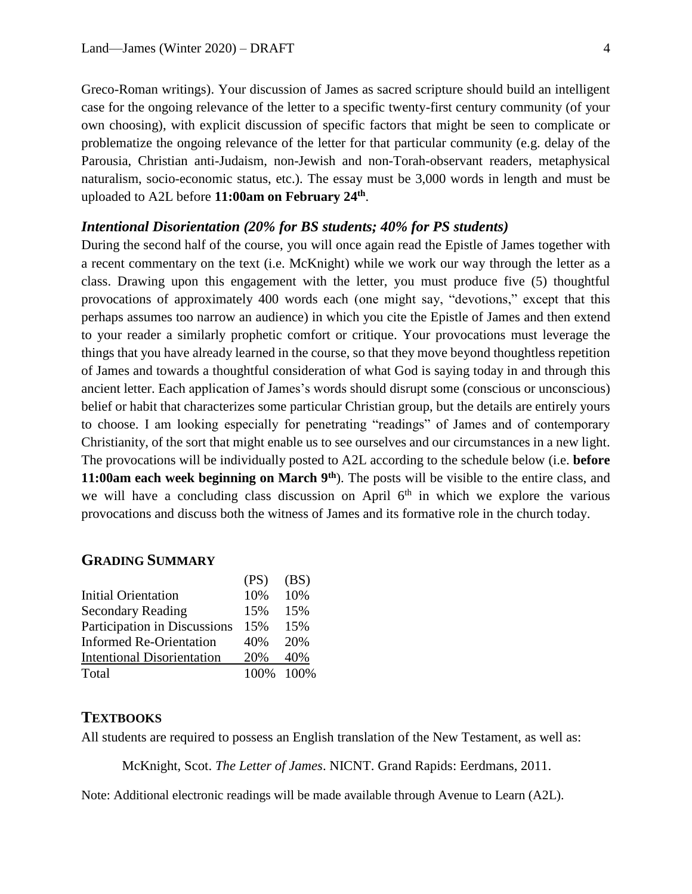Greco-Roman writings). Your discussion of James as sacred scripture should build an intelligent case for the ongoing relevance of the letter to a specific twenty-first century community (of your own choosing), with explicit discussion of specific factors that might be seen to complicate or problematize the ongoing relevance of the letter for that particular community (e.g. delay of the Parousia, Christian anti-Judaism, non-Jewish and non-Torah-observant readers, metaphysical naturalism, socio-economic status, etc.). The essay must be 3,000 words in length and must be uploaded to A2L before **11:00am on February 24th** .

## *Intentional Disorientation (20% for BS students; 40% for PS students)*

 $(D<sup>S</sup>)$   $(D<sup>S</sup>)$ 

During the second half of the course, you will once again read the Epistle of James together with a recent commentary on the text (i.e. McKnight) while we work our way through the letter as a class. Drawing upon this engagement with the letter, you must produce five (5) thoughtful provocations of approximately 400 words each (one might say, "devotions," except that this perhaps assumes too narrow an audience) in which you cite the Epistle of James and then extend to your reader a similarly prophetic comfort or critique. Your provocations must leverage the things that you have already learned in the course, so that they move beyond thoughtless repetition of James and towards a thoughtful consideration of what God is saying today in and through this ancient letter. Each application of James's words should disrupt some (conscious or unconscious) belief or habit that characterizes some particular Christian group, but the details are entirely yours to choose. I am looking especially for penetrating "readings" of James and of contemporary Christianity, of the sort that might enable us to see ourselves and our circumstances in a new light. The provocations will be individually posted to A2L according to the schedule below (i.e. **before 11:00am each week beginning on March 9th**). The posts will be visible to the entire class, and we will have a concluding class discussion on April  $6<sup>th</sup>$  in which we explore the various provocations and discuss both the witness of James and its formative role in the church today.

## **GRADING SUMMARY**

|                                   | (PS) | (B2)        |
|-----------------------------------|------|-------------|
| <b>Initial Orientation</b>        | 10%  | 10%         |
| <b>Secondary Reading</b>          | 15%  | 15%         |
| Participation in Discussions      | 15%  | 15%         |
| <b>Informed Re-Orientation</b>    | 40%  | 20%         |
| <b>Intentional Disorientation</b> | 20%  | 40%         |
| Total                             |      | 100\% 100\% |
|                                   |      |             |

#### **TEXTBOOKS**

All students are required to possess an English translation of the New Testament, as well as:

McKnight, Scot. *The Letter of James*. NICNT. Grand Rapids: Eerdmans, 2011.

Note: Additional electronic readings will be made available through Avenue to Learn (A2L).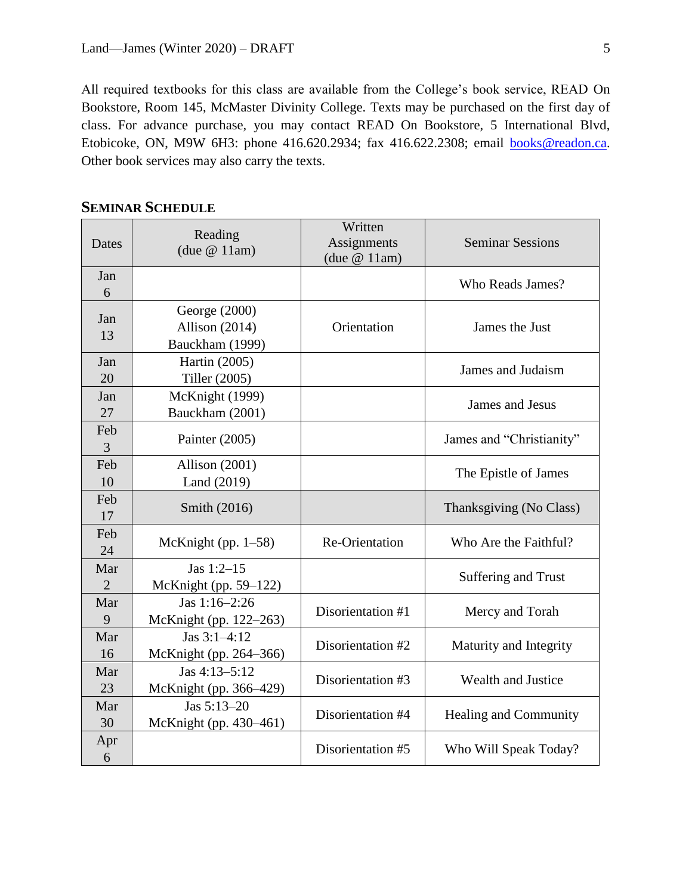All required textbooks for this class are available from the College's book service, READ On Bookstore, Room 145, McMaster Divinity College. Texts may be purchased on the first day of class. For advance purchase, you may contact READ On Bookstore, 5 International Blvd, Etobicoke, ON, M9W 6H3: phone 416.620.2934; fax 416.622.2308; email [books@readon.ca.](mailto:books@readon.ca) Other book services may also carry the texts.

|  | <b>SEMINAR SCHEDULE</b> |
|--|-------------------------|
|--|-------------------------|

| Dates          | Reading<br>(due $@11am$ ) | Written<br>Assignments<br>(due $@11am$ ) | <b>Seminar Sessions</b>      |  |
|----------------|---------------------------|------------------------------------------|------------------------------|--|
| Jan            |                           |                                          |                              |  |
| 6              |                           |                                          | Who Reads James?             |  |
|                | George (2000)             |                                          |                              |  |
| Jan<br>13      | Allison (2014)            | Orientation                              | James the Just               |  |
|                | Bauckham (1999)           |                                          |                              |  |
| Jan            | Hartin (2005)             |                                          | James and Judaism            |  |
| 20             | Tiller (2005)             |                                          |                              |  |
| Jan            | McKnight (1999)           |                                          | James and Jesus              |  |
| 27             | Bauckham (2001)           |                                          |                              |  |
| Feb            | Painter (2005)            |                                          | James and "Christianity"     |  |
| 3              |                           |                                          |                              |  |
| Feb            | Allison (2001)            |                                          | The Epistle of James         |  |
| 10             | Land (2019)               |                                          |                              |  |
| Feb            | Smith (2016)              |                                          | Thanksgiving (No Class)      |  |
| 17             |                           |                                          |                              |  |
| Feb            | McKnight (pp. $1-58$ )    | Re-Orientation                           | Who Are the Faithful?        |  |
| 24             |                           |                                          |                              |  |
| Mar            | Jas $1:2-15$              |                                          | Suffering and Trust          |  |
| $\overline{2}$ | McKnight (pp. 59–122)     |                                          |                              |  |
| Mar            | Jas 1:16-2:26             | Disorientation #1                        | Mercy and Torah              |  |
| 9              | McKnight (pp. 122-263)    |                                          |                              |  |
| Mar            | Jas $3:1-4:12$            | Disorientation #2                        | Maturity and Integrity       |  |
| 16             | McKnight (pp. 264–366)    |                                          |                              |  |
| Mar            | Jas 4:13-5:12             | Disorientation #3                        | <b>Wealth and Justice</b>    |  |
| 23             | McKnight (pp. 366–429)    |                                          |                              |  |
| Mar            | Jas 5:13-20               | Disorientation #4                        | <b>Healing and Community</b> |  |
| 30             | McKnight (pp. 430-461)    |                                          |                              |  |
| Apr<br>6       |                           | Disorientation #5                        | Who Will Speak Today?        |  |